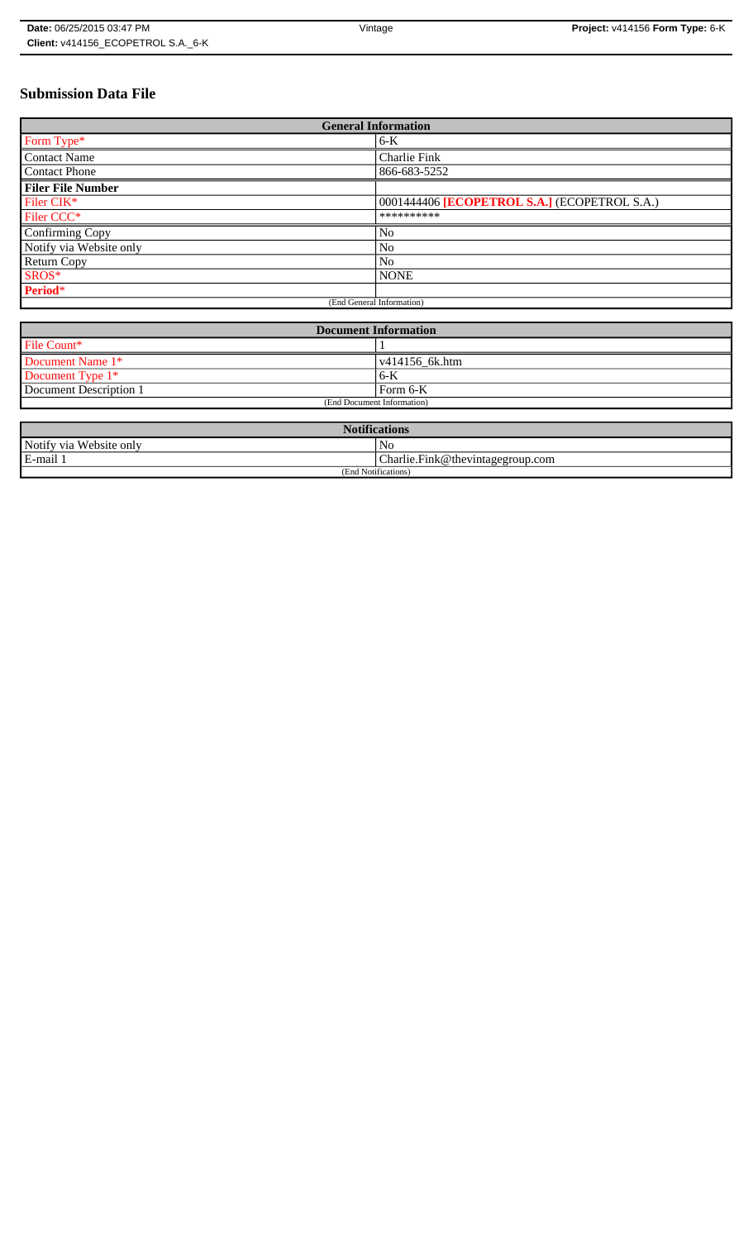# **Submission Data File**

| <b>General Information</b> |                                              |
|----------------------------|----------------------------------------------|
| Form Type*                 | $6-K$                                        |
| <b>Contact Name</b>        | Charlie Fink                                 |
| <b>Contact Phone</b>       | 866-683-5252                                 |
| <b>Filer File Number</b>   |                                              |
| Filer CIK*                 | 0001444406 [ECOPETROL S.A.] (ECOPETROL S.A.) |
| Filer CCC <sup>*</sup>     | **********                                   |
| Confirming Copy            | No                                           |
| Notify via Website only    | No                                           |
| <b>Return Copy</b>         | N <sub>o</sub>                               |
| SROS*                      | <b>NONE</b>                                  |
| Period*                    |                                              |
| (End General Information)  |                                              |

| <b>Document Information</b> |                        |
|-----------------------------|------------------------|
| File Count*                 |                        |
| Document Name 1*            | $\sqrt{414156}$ 6k.htm |
| Document Type 1*            | 6-K                    |
| Document Description 1      | Form 6-K               |
| (End Document Information)  |                        |

| <b>Notifications</b>    |                                  |  |
|-------------------------|----------------------------------|--|
| Notify via Website only | N <sub>0</sub>                   |  |
| E-mail 1                | Charlie.Fink@thevintagegroup.com |  |
| (End Notifications)     |                                  |  |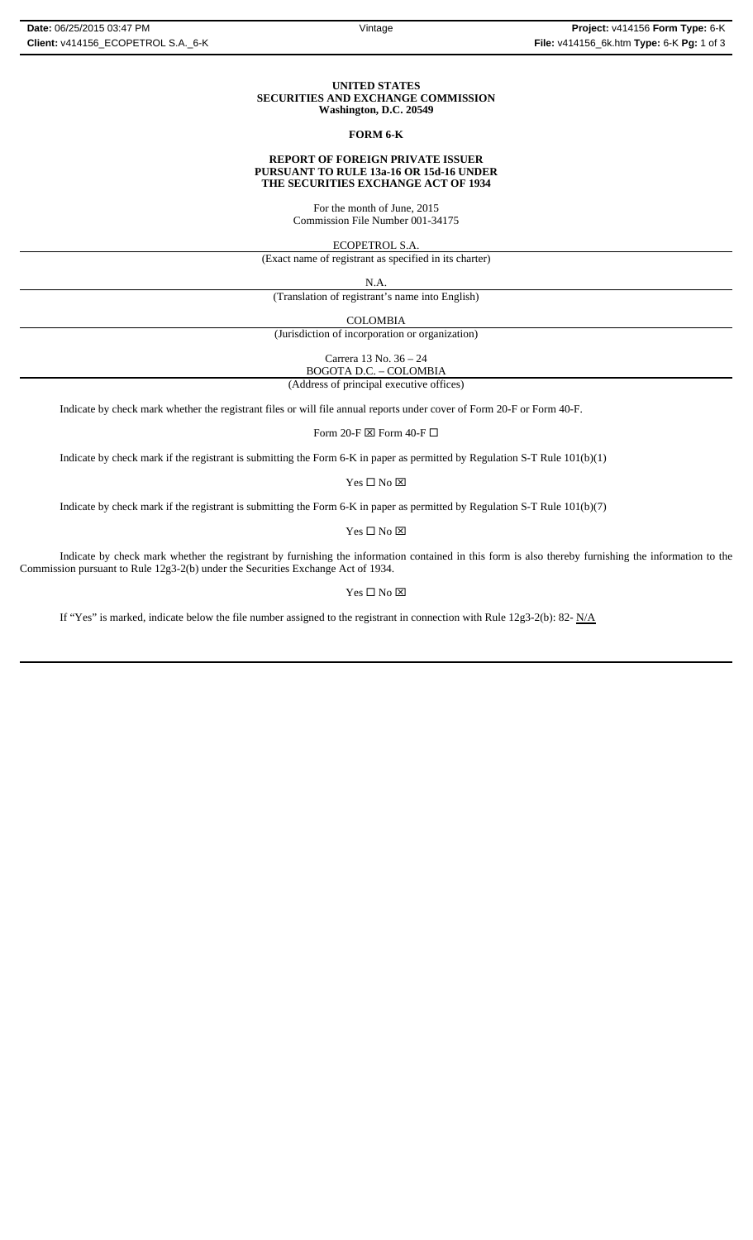#### **UNITED STATES SECURITIES AND EXCHANGE COMMISSION Washington, D.C. 20549**

#### **FORM 6-K**

#### **REPORT OF FOREIGN PRIVATE ISSUER PURSUANT TO RULE 13a-16 OR 15d-16 UNDER THE SECURITIES EXCHANGE ACT OF 1934**

For the month of June, 2015 Commission File Number 001-34175

ECOPETROL S.A.

(Exact name of registrant as specified in its charter)

N.A.

(Translation of registrant's name into English)

COLOMBIA

(Jurisdiction of incorporation or organization)

Carrera 13 No. 36 – 24 BOGOTA D.C. – COLOMBIA

(Address of principal executive offices)

Indicate by check mark whether the registrant files or will file annual reports under cover of Form 20-F or Form 40-F.

Form 20-F  $\boxtimes$  Form 40-F  $\Box$ 

Indicate by check mark if the registrant is submitting the Form 6-K in paper as permitted by Regulation S-T Rule 101(b)(1)

Yes $\Box$  No  $\boxtimes$ 

Indicate by check mark if the registrant is submitting the Form 6-K in paper as permitted by Regulation S-T Rule 101(b)(7)

 $\mathbf{Yes} \ \square \ \mathbf{No} \ \boxtimes$ 

Indicate by check mark whether the registrant by furnishing the information contained in this form is also thereby furnishing the information to the Commission pursuant to Rule 12g3-2(b) under the Securities Exchange Act of 1934.

### $Yes \Box No \boxtimes$

If "Yes" is marked, indicate below the file number assigned to the registrant in connection with Rule 12g3-2(b): 82-  $N/A$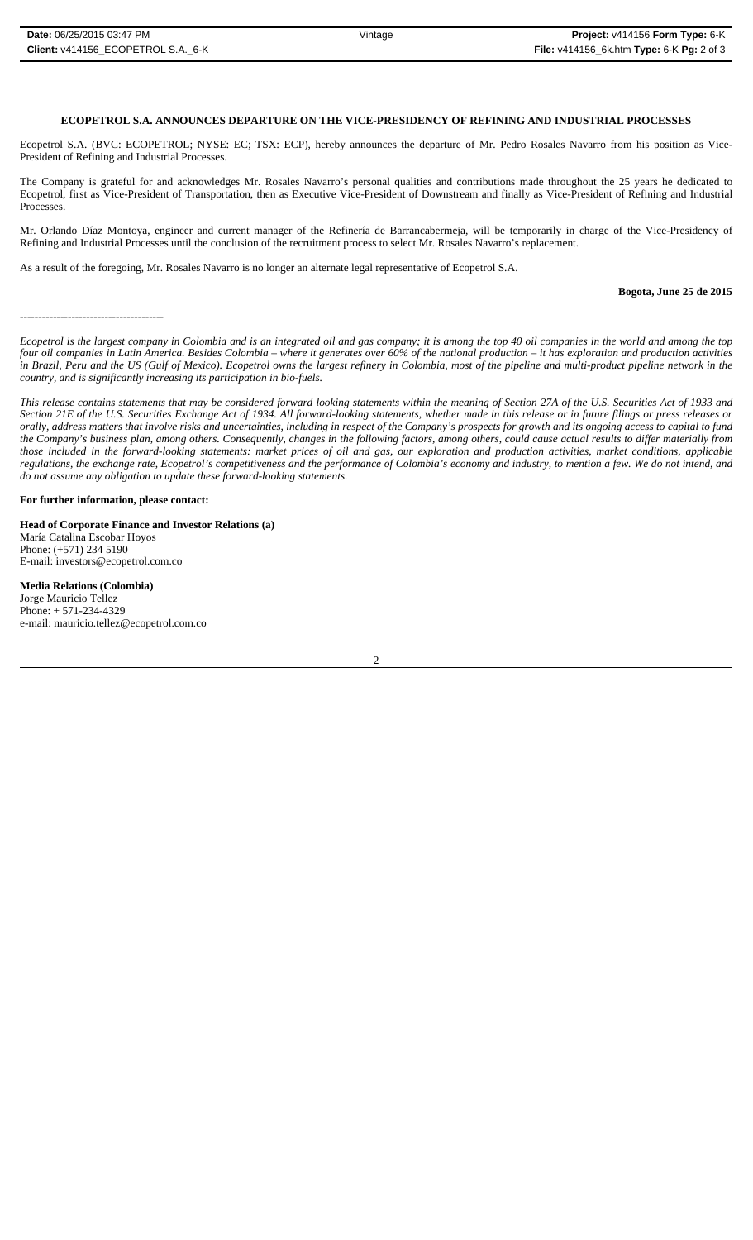### **ECOPETROL S.A. ANNOUNCES DEPARTURE ON THE VICE-PRESIDENCY OF REFINING AND INDUSTRIAL PROCESSES**

Ecopetrol S.A. (BVC: ECOPETROL; NYSE: EC; TSX: ECP), hereby announces the departure of Mr. Pedro Rosales Navarro from his position as Vice-President of Refining and Industrial Processes.

The Company is grateful for and acknowledges Mr. Rosales Navarro's personal qualities and contributions made throughout the 25 years he dedicated to Ecopetrol, first as Vice-President of Transportation, then as Executive Vice-President of Downstream and finally as Vice-President of Refining and Industrial Processes.

Mr. Orlando Díaz Montoya, engineer and current manager of the Refinería de Barrancabermeja*,* will be temporarily in charge of the Vice-Presidency of Refining and Industrial Processes until the conclusion of the recruitment process to select Mr. Rosales Navarro's replacement.

As a result of the foregoing, Mr. Rosales Navarro is no longer an alternate legal representative of Ecopetrol S.A.

**Bogota, June 25 de 2015**

---------------------------------------

*Ecopetrol is the largest company in Colombia and is an integrated oil and gas company; it is among the top 40 oil companies in the world and among the top four oil companies in Latin America. Besides Colombia – where it generates over 60% of the national production – it has exploration and production activities in Brazil, Peru and the US (Gulf of Mexico). Ecopetrol owns the largest refinery in Colombia, most of the pipeline and multi-product pipeline network in the country, and is significantly increasing its participation in bio-fuels.* 

*This release contains statements that may be considered forward looking statements within the meaning of Section 27A of the U.S. Securities Act of 1933 and Section 21E of the U.S. Securities Exchange Act of 1934. All forward-looking statements, whether made in this release or in future filings or press releases or orally, address matters that involve risks and uncertainties, including in respect of the Company's prospects for growth and its ongoing access to capital to fund the Company's business plan, among others. Consequently, changes in the following factors, among others, could cause actual results to differ materially from those included in the forward-looking statements: market prices of oil and gas, our exploration and production activities, market conditions, applicable regulations, the exchange rate, Ecopetrol's competitiveness and the performance of Colombia's economy and industry, to mention a few. We do not intend, and do not assume any obligation to update these forward-looking statements.*

#### **For further information, please contact:**

**Head of Corporate Finance and Investor Relations (a)** María Catalina Escobar Hoyos Phone: (+571) 234 5190 E-mail: investors@ecopetrol.com.co

**Media Relations (Colombia)**  Jorge Mauricio Tellez Phone: + 571-234-4329 e-mail: mauricio.tellez@ecopetrol.com.co